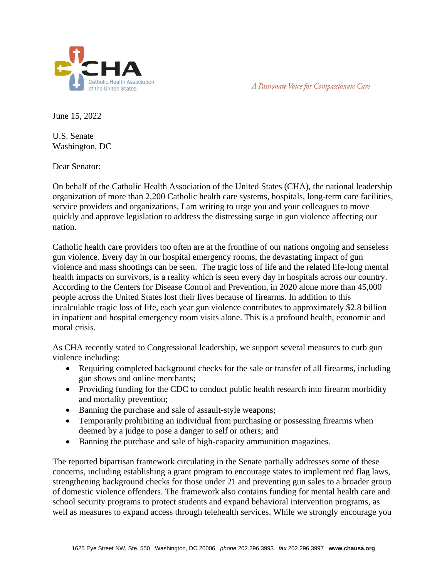

A Passionate Voice for Compassionate Care

June 15, 2022

U.S. Senate Washington, DC

Dear Senator:

On behalf of the Catholic Health Association of the United States (CHA), the national leadership organization of more than 2,200 Catholic health care systems, hospitals, long-term care facilities, service providers and organizations, I am writing to urge you and your colleagues to move quickly and approve legislation to address the distressing surge in gun violence affecting our nation.

Catholic health care providers too often are at the frontline of our nations ongoing and senseless gun violence. Every day in our hospital emergency rooms, the devastating impact of gun violence and mass shootings can be seen. The tragic loss of life and the related life-long mental health impacts on survivors, is a reality which is seen every day in hospitals across our country. According to the Centers for Disease Control and Prevention, in 2020 alone more than 45,000 people across the United States lost their lives because of firearms. In addition to this incalculable tragic loss of life, each year gun violence contributes to approximately \$2.8 billion in inpatient and hospital emergency room visits alone. This is a profound health, economic and moral crisis.

As CHA recently stated to Congressional leadership, we support several measures to curb gun violence including:

- Requiring completed background checks for the sale or transfer of all firearms, including gun shows and online merchants;
- Providing funding for the CDC to conduct public health research into firearm morbidity and mortality prevention;
- Banning the purchase and sale of assault-style weapons;
- Temporarily prohibiting an individual from purchasing or possessing firearms when deemed by a judge to pose a danger to self or others; and
- Banning the purchase and sale of high-capacity ammunition magazines.

The reported bipartisan framework circulating in the Senate partially addresses some of these concerns, including establishing a grant program to encourage states to implement red flag laws, strengthening background checks for those under 21 and preventing gun sales to a broader group of domestic violence offenders. The framework also contains funding for mental health care and school security programs to protect students and expand behavioral intervention programs, as well as measures to expand access through telehealth services. While we strongly encourage you